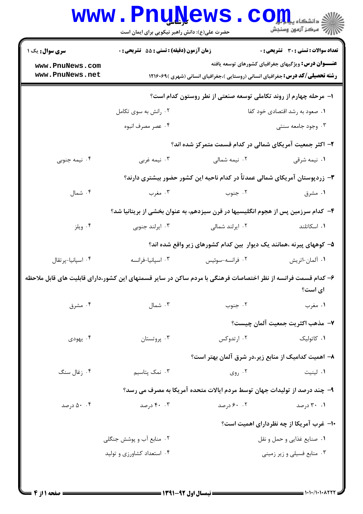## Www.PnuNews.com

|                                                                   |                                            | عقرت کسی (۱،۲۰۰ مانس (۱۰۰ برای بیرانی ایسان ۱۰۰۰ مان |                                                                                                               |
|-------------------------------------------------------------------|--------------------------------------------|------------------------------------------------------|---------------------------------------------------------------------------------------------------------------|
| <b>سری سوال :</b> یک ۱                                            | زمان آزمون (دقیقه) : تستی : 55 آتشریحی : 0 |                                                      | <b>تعداد سوالات : تستي : 30 ٪ تشريحي : 0</b>                                                                  |
| www.PnuNews.com                                                   |                                            |                                                      | <b>عنـــوان درس:</b> ویژگیهای جغرافیای کشورهای توسعه یافته                                                    |
| www.PnuNews.net                                                   |                                            |                                                      | <b>رشته تحصیلی/کد درس:</b> جغرافیای انسانی (روستایی )،جغرافیای انسانی (شهری )۱۲۱۶۰۶۹                          |
| ا– مرحله چهارم از روند تکاملی توسعه صنعتی از نطر روستون کدام است؟ |                                            |                                                      |                                                                                                               |
|                                                                   | ۰۲ رانش به سوی تکامل                       |                                                      | ۰۱ صعود به رشد اقتصادی خود کفا                                                                                |
|                                                                   | ۰۴ عصر مصرف انبوه                          |                                                      | ۰۳ وجود جامعه سنتی                                                                                            |
|                                                                   |                                            |                                                      | ۲- اکثر جمعیت آمریکای شمالی در کدام قسمت متمرکز شده اند؟                                                      |
| ۰۴ نیمه جنوبی                                                     | ۰۳ نیمه غربی                               | ۰۲ نیمه شمال <sub>ی</sub>                            | ۰۱ نیمه شرقی                                                                                                  |
|                                                                   |                                            |                                                      | ۳– زردپوستان آمریکای شمالی عمدتاً در کدام ناحیه این کشور حضور بیشتری دارند؟                                   |
| ۰۴ شمال                                                           | ۰۳ مغرب                                    | ۰۲ جنوب                                              | ۰۱ مشرق                                                                                                       |
|                                                                   |                                            |                                                      | ۴– کدام سرزمین پس از هجوم انگلیسیها در قرن سیزدهم، به عنوان بخشی از بریتانیا شد؟                              |
| ۰۴ ویلز                                                           | ۰۳ ایرلند جنوبی                            | ۰۲ ایرلند شمالی                                      | ۰۱ اسکاتلند                                                                                                   |
|                                                                   |                                            |                                                      | ۵– کوههای پیرنه ،همانند یک دیوار  بین کدام کشورهای زیر واقع شده اند؟                                          |
| ۰۴ اسپانیا-پرتقال                                                 | ۰۳ اسپانیا-فرانسه                          | ٠٢ فرانسه-سوئيس                                      | ۰۱ آلمان-اتريش                                                                                                |
|                                                                   |                                            |                                                      | ۶– کدام قسمت فرانسه از نظر اختصاصات فرهنگی با مردم ساکن در سایر قسمتهای این کشور،دارای قابلیت های قابل ملاحظه |
|                                                                   |                                            |                                                      | ای است؟                                                                                                       |
| ۰۴ مشرق                                                           | ۰۳ شمال                                    | ۰۲ جنوب                                              | ۰۱ مغرب                                                                                                       |
|                                                                   |                                            |                                                      | ٧- مذهب اكثريت جمعيت آلمان چيست؟                                                                              |
| ۰۴ يهودي                                                          | ۰۳ پروتستان                                | ۰۲ ارتدوکس                                           | ۰۱ کاتولیک                                                                                                    |
|                                                                   |                                            |                                                      | ۸– اهمیت کدامیک از منابع زیر،در شرق آلمان بهتر است؟                                                           |
| ۰۴ زغال سنگ                                                       | ۰۳ نمک پتاسیم                              | ۰۲ روی $\cdot$                                       | ۰۱ لینیت                                                                                                      |
|                                                                   |                                            |                                                      | ۹- چند درصد از تولیدات جهان توسط مردم ایالات متحده آمریکا به مصرف می رسد؟                                     |
| ۵۰ .۴ درصد                                                        | ۴۰ . ۴۰ درصد                               | ۰. ۶۰ درصد                                           | ۰۱ ۲۰ درصد                                                                                                    |
|                                                                   |                                            |                                                      | <b>۱۰</b> - غرب آمریکا از چه نظردارای اهمیت است؟                                                              |
|                                                                   | ۰۲ منابع آب و پوشش جنگلی                   |                                                      | ۰۱ صنایع غذایی و حمل و نقل                                                                                    |
|                                                                   | ۰۴ استعداد کشاورزی و تولید                 |                                                      | ۰۳ منابع فسیلی و زیر زمینی                                                                                    |
|                                                                   |                                            |                                                      |                                                                                                               |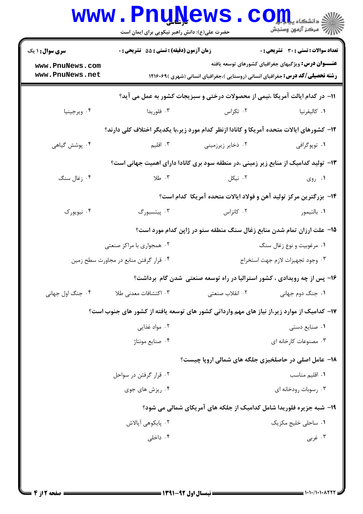|                                                                                            | <b>www.PnuNews</b><br>حضرت علی(ع): دانش راهبر نیکویی برای ایمان است                      |                                                                                      | رآ - مرڪز آزمون وسنڊش                                       |  |
|--------------------------------------------------------------------------------------------|------------------------------------------------------------------------------------------|--------------------------------------------------------------------------------------|-------------------------------------------------------------|--|
| <b>سری سوال :</b> ۱ یک                                                                     | <b>زمان آزمون (دقیقه) : تستی : 55 تشریحی : 0</b>                                         |                                                                                      | <b>تعداد سوالات : تستی : 30 ٪ تشریحی : 0</b>                |  |
| www.PnuNews.com<br>www.PnuNews.net                                                         |                                                                                          | <b>رشته تحصیلی/کد درس:</b> جغرافیای انسانی (روستایی )،جغرافیای انسانی (شهری )۱۲۱۶۰۶۹ | <b>عنــــوان درس:</b> ویژگیهای جغرافیای کشورهای توسعه یافته |  |
|                                                                                            |                                                                                          | 11- در کدام ایالت آمریکا ،نیمی از محصولات درختی و سبزیجات کشور به عمل می آید؟        |                                                             |  |
| ۰۴ ويرجينيا                                                                                | ۰۳ فلوريدا                                                                               | ۰۲ تکزاس                                                                             | ٠١. كاليفرنيا                                               |  |
|                                                                                            | ۱۲- کشورهای ایالات متحده آمریکا و کانادا ازنظر کدام مورد زیر،با یکدیگر اختلاف کلی دارند؟ |                                                                                      |                                                             |  |
| ۰۴ پوشش گیاهی                                                                              | ۰۳ اقلیم                                                                                 | ۰۲ ذخایر زیرزمینی                                                                    | ۰۱ توپوگرافي                                                |  |
|                                                                                            | ۱۳– تولید کدامیک از منابع زیر زمینی ،در منطقه سود بری کانادا دارای اهمیت جهانی است؟      |                                                                                      |                                                             |  |
| ۰۴ زغال سنگ                                                                                | ۰۳ طلا                                                                                   | ۰۲ نیکل                                                                              | ۰۱ روی                                                      |  |
|                                                                                            |                                                                                          | ۱۴– بزرگترین مرکز تولید آهن و فولاد ایالات متحده آمریکا کدام است؟                    |                                                             |  |
| ۰۴ نیویورک                                                                                 | ۰۳ پیتسبورگ                                                                              | ۰۲ کانزاس                                                                            | ۰۱ بالتيمور                                                 |  |
|                                                                                            |                                                                                          | ۱۵– علت ارزان تمام شدن منابع زغال سنگ منطقه ستو در ژاپن کدام مورد است؟               |                                                             |  |
|                                                                                            | ۰۲ همجواری با مراکز صنعتی                                                                |                                                                                      | ۰۱ مرغوبیت و نوع زغال سنگ                                   |  |
|                                                                                            | ۰۴ قرار گرفتن منابع در مجاورت سطح زمین                                                   |                                                                                      | ٠٣ وجود تجهيزات لازم جهت استخراج                            |  |
|                                                                                            |                                                                                          | ۱۶- پس از چه رویدادی ، کشور استرالیا در راه توسعه صنعتی شدن گام برداشت؟              |                                                             |  |
| ۰۴ جنگ اول جهانی                                                                           | ۰۳ اکتشافات معدنی طلا                                                                    | ٢. انقلاب صنعتي                                                                      | ۰۱ جنگ دوم جهانی                                            |  |
| ۱۷– کدامیک از موارد زیر،از نیاز های مهم وارداتی کشور های توسعه یافته از کشور های جنوب است؟ |                                                                                          |                                                                                      |                                                             |  |
|                                                                                            | ۰۲ مواد غذایی                                                                            |                                                                                      | ۰۱ صنایع دستی                                               |  |
|                                                                                            | ۰۴ صنایع مونتاژ                                                                          |                                                                                      | ۰۳ مصنوعات کارخانه ای                                       |  |
|                                                                                            |                                                                                          | <b>۱۸- عامل اصلی در حاصلخیزی جلگه های شمالی اروپا چیست</b> ؟                         |                                                             |  |
|                                                                                            | ۰۲ قرار گرفتن در سواحل                                                                   |                                                                                      | ۰۱ اقلیم مناسب                                              |  |
|                                                                                            | ۰۴ ریزش های جوی                                                                          |                                                                                      | ۰۳ رسوبات رودخانه ای                                        |  |
| ۱۹- شبه جزیره فلوریدا شامل کدامیک از جلکه های آمریکای شمالی می شود؟                        |                                                                                          |                                                                                      |                                                             |  |
|                                                                                            | ۰۲ پایکوهی آپالاش                                                                        |                                                                                      | ۰۱ ساحلی خلیج مکزیک                                         |  |
|                                                                                            | ۰۴ داخلی                                                                                 |                                                                                      | ۰۳ غربي                                                     |  |
|                                                                                            |                                                                                          |                                                                                      |                                                             |  |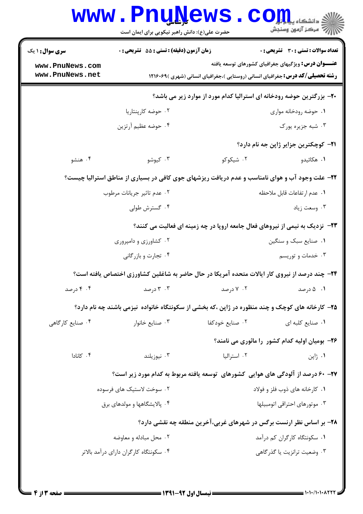|                                                                                                | www.PnuNews<br>حضرت علی(ع): دانش راهبر نیکویی برای ایمان است                                    |                                | <b>COIL</b><br>أأآت مركز آزمون وسنجش                                                                                                               |  |
|------------------------------------------------------------------------------------------------|-------------------------------------------------------------------------------------------------|--------------------------------|----------------------------------------------------------------------------------------------------------------------------------------------------|--|
| سری سوال: ۱ یک                                                                                 | زمان آزمون (دقيقه) : تستى : 55 تشريحى : 0                                                       |                                | <b>تعداد سوالات : تستی : 30 ٪ تشریحی : 0</b>                                                                                                       |  |
| www.PnuNews.com<br>www.PnuNews.net                                                             |                                                                                                 |                                | <b>عنـــوان درس:</b> ویژگیهای جغرافیای کشورهای توسعه یافته<br><b>رشته تحصیلی/کد درس:</b> جغرافیای انسانی (روستایی )،جغرافیای انسانی (شهری )۱۲۱۶۰۶۹ |  |
|                                                                                                |                                                                                                 |                                | +۲- بزرگترین حوضه رودخانه ای استرالیا کدام مورد از موارد زیر می باشد؟                                                                              |  |
|                                                                                                | ۰۲ حوضه کارپنتاریا                                                                              |                                | ۰۱ حوضه رودخانه مواری                                                                                                                              |  |
|                                                                                                | ۰۴ حوضه عظیم آرتزین                                                                             |                                | ۰۳ شبه جزیره یورک                                                                                                                                  |  |
|                                                                                                |                                                                                                 |                                | <b>۲۱</b> - کوچکترین جزایر ژاپن جه نام دارد؟                                                                                                       |  |
| ۰۴ هنشو                                                                                        | ۰۳ کیوشو                                                                                        | ۰۲ شیکوکو                      | ۰۱ هکائیدو                                                                                                                                         |  |
| ۲۲- علت وجود آب و هوای نامناسب و عدم دریافت ریزشهای جوی کافی در بسیاری از مناطق استرالیا چیست؟ |                                                                                                 |                                |                                                                                                                                                    |  |
|                                                                                                | ۰۲ عدم تاثیر جریانات مرطوب                                                                      |                                | ٠١. عدم ارتفاعات قابل ملاحظه                                                                                                                       |  |
|                                                                                                | ۰۴ گسترش طولی                                                                                   |                                | ۰۳ وسعت زياد                                                                                                                                       |  |
| <b>۲۳</b> - نزدیک به نیمی از نیروهای فعال جامعه اروپا در چه زمینه ای فعالیت می کنند؟           |                                                                                                 |                                |                                                                                                                                                    |  |
|                                                                                                | ۰۲ کشاورزی و دامپروری                                                                           |                                | ۰۱ صنایع سبک و سنگین                                                                                                                               |  |
|                                                                                                | ۰۴ تجارت و بازرگانی                                                                             |                                | ۰۳ خدمات و توریسم                                                                                                                                  |  |
|                                                                                                | ۲۴- چند درصد از نیروی کار ایالات متحده آمریکا در حال حاضر به شاغلین کشاورزی اختصاص یافته است؟   |                                |                                                                                                                                                    |  |
| ۰۴ درصد                                                                                        | ۰۳ درصد                                                                                         | ۰۲ درصد                        | ۰۱ - ۵ درصد                                                                                                                                        |  |
|                                                                                                | ۲۵- کارخانه های کوچک و چند منظوره در ژاپن ،که بخشی از سکونتگاه خانواده نیزمی باشند چه نام دارد؟ |                                |                                                                                                                                                    |  |
| ۰۴ صنایع کارگاهی                                                                               | ۰۳ صنایع خانوار                                                                                 | ۰۲ صنایع خودکفا                | ٠١ صنايع كلبه اي                                                                                                                                   |  |
|                                                                                                |                                                                                                 |                                | ۲۶- بومیان اولیه کدام کشور را مائوری می نامند؟                                                                                                     |  |
| ۰۴ کانادا                                                                                      | ۰۳ نیوزیلند                                                                                     | ۰۲ استرالیا                    | ۰۱ ژاپن                                                                                                                                            |  |
|                                                                                                | ۲۷- ۶۰ درصد از آلودگی های هوایی کشورهای توسعه یافته مربوط به کدام مورد زیر است؟                 |                                |                                                                                                                                                    |  |
| ۰۲ سوخت لاستیک های فرسوده                                                                      |                                                                                                 | ۰۱ كارخانه هاى ذوب فلز و فولاد |                                                                                                                                                    |  |
|                                                                                                | ۰۴ پالایشگاهها و مولدهای برق                                                                    |                                | ۰۳ موتورهای احتراقی اتومبیلها                                                                                                                      |  |
| ۲۸- بر اساس نظر ارنست برگس در شهرهای غربی، آخرین منطقه چه نقشی دارد؟                           |                                                                                                 |                                |                                                                                                                                                    |  |
|                                                                                                | ۰۲ محل مبادله و معاوضه                                                                          |                                | ۰۱ سکونتگاه کارگران کم درآمد                                                                                                                       |  |
|                                                                                                | ۰۴ سکونتگاه کارگران دارای درآمد بالاتر                                                          |                                | ۰۳ وضعیت ترانزیت یا گذرگاهی                                                                                                                        |  |
|                                                                                                |                                                                                                 |                                |                                                                                                                                                    |  |